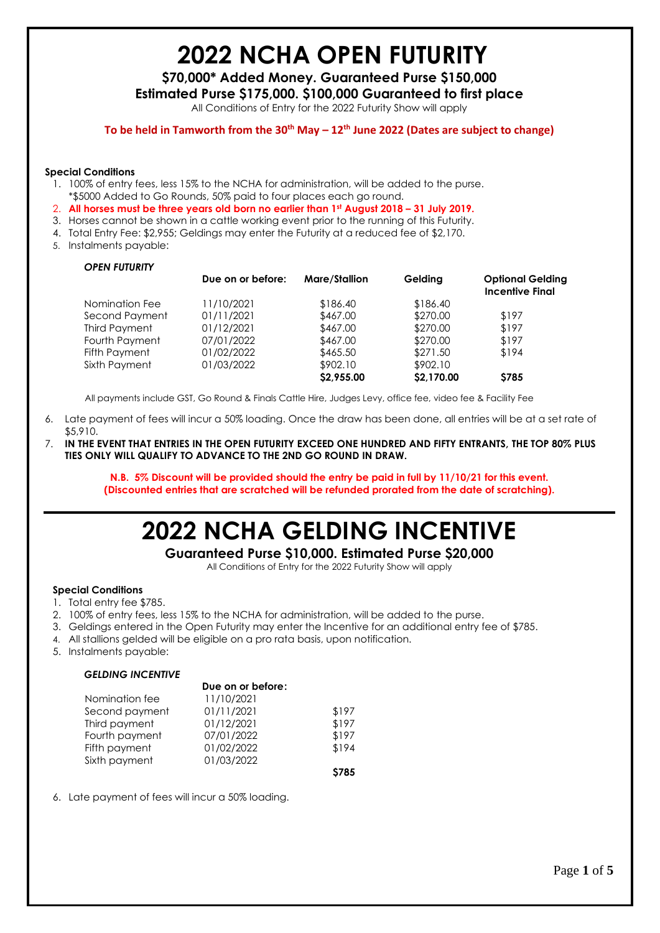**2022 NCHA OPEN FUTURITY**

### **\$70,000\* Added Money. Guaranteed Purse \$150,000**

**Estimated Purse \$175,000. \$100,000 Guaranteed to first place**

All Conditions of Entry for the 2022 Futurity Show will apply

**To be held in Tamworth from the 30th May – 12 th June 2022 (Dates are subject to change)**

#### **Special Conditions**

- 1. 100% of entry fees, less 15% to the NCHA for administration, will be added to the purse. \*\$5000 Added to Go Rounds, 50% paid to four places each go round.
- 2. **All horses must be three years old born no earlier than 1 st August 2018 – 31 July 2019.**
- 3. Horses cannot be shown in a cattle working event prior to the running of this Futurity.
- 4. Total Entry Fee: \$2,955; Geldings may enter the Futurity at a reduced fee of \$2,170.
- 5. Instalments payable:

#### *OPEN FUTURITY*

|                | Due on or before: | <b>Mare/Stallion</b> | Gelding    | <b>Optional Gelding</b><br><b>Incentive Final</b> |
|----------------|-------------------|----------------------|------------|---------------------------------------------------|
| Nomination Fee | 11/10/2021        | \$186.40             | \$186.40   |                                                   |
| Second Payment | 01/11/2021        | \$467.00             | \$270.00   | \$197                                             |
| Third Payment  | 01/12/2021        | \$467.00             | \$270.00   | \$197                                             |
| Fourth Payment | 07/01/2022        | \$467.00             | \$270.00   | \$197                                             |
| Fifth Payment  | 01/02/2022        | \$465.50             | \$271.50   | \$194                                             |
| Sixth Payment  | 01/03/2022        | \$902.10             | \$902.10   |                                                   |
|                |                   | \$2,955.00           | \$2,170.00 | \$785                                             |

All payments include GST, Go Round & Finals Cattle Hire, Judges Levy, office fee, video fee & Facility Fee

- 6. Late payment of fees will incur a 50% loading. Once the draw has been done, all entries will be at a set rate of \$5,910.
- 7. **IN THE EVENT THAT ENTRIES IN THE OPEN FUTURITY EXCEED ONE HUNDRED AND FIFTY ENTRANTS, THE TOP 80% PLUS TIES ONLY WILL QUALIFY TO ADVANCE TO THE 2ND GO ROUND IN DRAW.**

**N.B. 5% Discount will be provided should the entry be paid in full by 11/10/21 for this event. (Discounted entries that are scratched will be refunded prorated from the date of scratching).**

## **2022 NCHA GELDING INCENTIVE**

#### **Guaranteed Purse \$10,000. Estimated Purse \$20,000**

All Conditions of Entry for the 2022 Futurity Show will apply

#### **Special Conditions**

- 1. Total entry fee \$785.
- 2. 100% of entry fees, less 15% to the NCHA for administration, will be added to the purse.
- 3. Geldings entered in the Open Futurity may enter the Incentive for an additional entry fee of \$785.
- 4. All stallions gelded will be eligible on a pro rata basis, upon notification.
- 5. Instalments payable:

#### *GELDING INCENTIVE*

|                | Due on or before: |       |
|----------------|-------------------|-------|
| Nomination fee | 11/10/2021        |       |
| Second payment | 01/11/2021        | \$197 |
| Third payment  | 01/12/2021        | \$197 |
| Fourth payment | 07/01/2022        | \$197 |
| Fifth payment  | 01/02/2022        | \$194 |
| Sixth payment  | 01/03/2022        |       |
|                |                   |       |

 **\$785**

6. Late payment of fees will incur a 50% loading.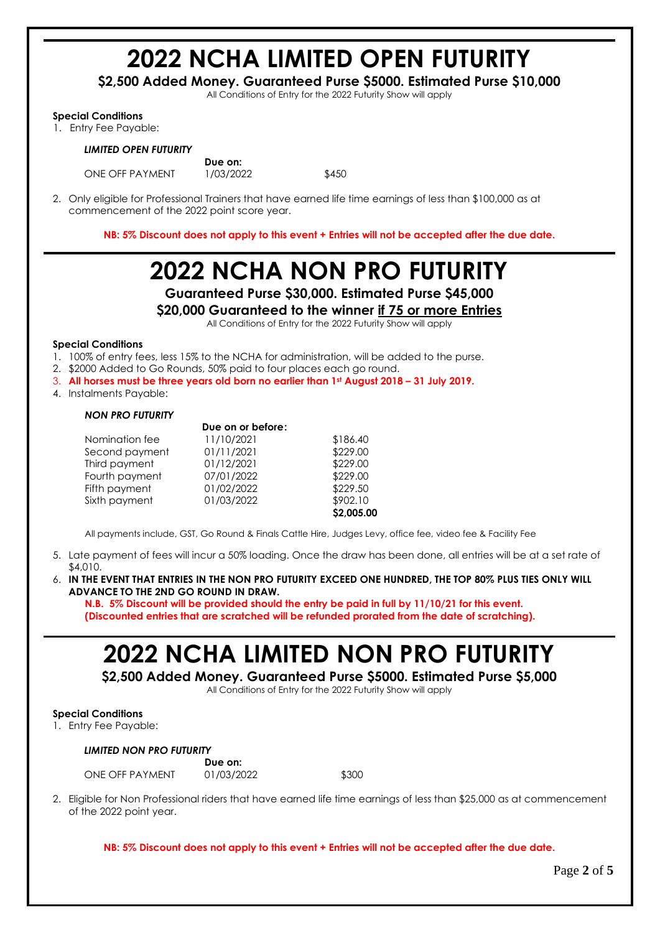# **2022 NCHA LIMITED OPEN FUTURITY**

**\$2,500 Added Money. Guaranteed Purse \$5000. Estimated Purse \$10,000**

All Conditions of Entry for the 2022 Futurity Show will apply

**Special Conditions**

1. Entry Fee Payable:

*LIMITED OPEN FUTURITY*

ONE OFF PAYMENT 1/03/2022 \$450

**Due on:**

2. Only eligible for Professional Trainers that have earned life time earnings of less than \$100,000 as at commencement of the 2022 point score year.

**NB: 5% Discount does not apply to this event + Entries will not be accepted after the due date.**

# **2022 NCHA NON PRO FUTURITY**

**Guaranteed Purse \$30,000. Estimated Purse \$45,000**

**\$20,000 Guaranteed to the winner if 75 or more Entries**

All Conditions of Entry for the 2022 Futurity Show will apply

#### **Special Conditions**

- 1. 100% of entry fees, less 15% to the NCHA for administration, will be added to the purse.
- 2. \$2000 Added to Go Rounds, 50% paid to four places each go round.
- 3. **All horses must be three years old born no earlier than 1st August 2018 – 31 July 2019.**
- 4. Instalments Payable:

### *NON PRO FUTURITY*

|                | Due on or before: |            |
|----------------|-------------------|------------|
| Nomination fee | 11/10/2021        | \$186.40   |
| Second payment | 01/11/2021        | \$229.00   |
| Third payment  | 01/12/2021        | \$229.00   |
| Fourth payment | 07/01/2022        | \$229.00   |
| Fifth payment  | 01/02/2022        | \$229.50   |
| Sixth payment  | 01/03/2022        | \$902.10   |
|                |                   | \$2,005.00 |

All payments include, GST, Go Round & Finals Cattle Hire, Judges Levy, office fee, video fee & Facility Fee

- 5. Late payment of fees will incur a 50% loading. Once the draw has been done, all entries will be at a set rate of \$4,010.
- 6. **IN THE EVENT THAT ENTRIES IN THE NON PRO FUTURITY EXCEED ONE HUNDRED, THE TOP 80% PLUS TIES ONLY WILL ADVANCE TO THE 2ND GO ROUND IN DRAW.**

**N.B. 5% Discount will be provided should the entry be paid in full by 11/10/21 for this event. (Discounted entries that are scratched will be refunded prorated from the date of scratching).**

# **2022 NCHA LIMITED NON PRO FUTURITY**

**\$2,500 Added Money. Guaranteed Purse \$5000. Estimated Purse \$5,000** 

All Conditions of Entry for the 2022 Futurity Show will apply

#### **Special Conditions**

1. Entry Fee Payable:

#### *LIMITED NON PRO FUTURITY*

**Due on:** ONE OFF PAYMENT 01/03/2022 \$300

2. Eligible for Non Professional riders that have earned life time earnings of less than \$25,000 as at commencement of the 2022 point year.

**NB: 5% Discount does not apply to this event + Entries will not be accepted after the due date.**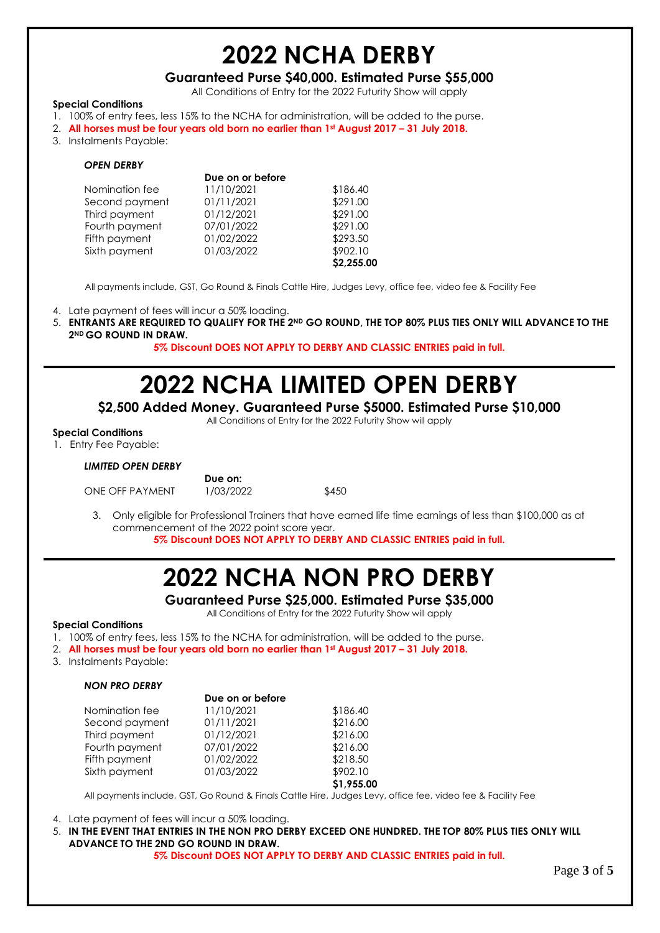### **2022 NCHA DERBY**

### **Guaranteed Purse \$40,000. Estimated Purse \$55,000**

All Conditions of Entry for the 2022 Futurity Show will apply

#### **Special Conditions**

- 1. 100% of entry fees, less 15% to the NCHA for administration, will be added to the purse.
- 2. **All horses must be four years old born no earlier than 1st August 2017 – 31 July 2018.**
- 3. Instalments Payable:

#### *OPEN DERBY*

|                | Due on or before |            |
|----------------|------------------|------------|
| Nomination fee | 11/10/2021       | \$186.40   |
| Second payment | 01/11/2021       | \$291.00   |
| Third payment  | 01/12/2021       | \$291.00   |
| Fourth payment | 07/01/2022       | \$291.00   |
| Fifth payment  | 01/02/2022       | \$293.50   |
| Sixth payment  | 01/03/2022       | \$902.10   |
|                |                  | \$2,255.00 |

All payments include, GST, Go Round & Finals Cattle Hire, Judges Levy, office fee, video fee & Facility Fee

- 4. Late payment of fees will incur a 50% loading.
- 5. **ENTRANTS ARE REQUIRED TO QUALIFY FOR THE 2ND GO ROUND, THE TOP 80% PLUS TIES ONLY WILL ADVANCE TO THE 2ND GO ROUND IN DRAW.**

**5% Discount DOES NOT APPLY TO DERBY AND CLASSIC ENTRIES paid in full.**

## **2022 NCHA LIMITED OPEN DERBY**

#### **\$2,500 Added Money. Guaranteed Purse \$5000. Estimated Purse \$10,000**

All Conditions of Entry for the 2022 Futurity Show will apply

#### **Special Conditions**

1. Entry Fee Payable:

#### *LIMITED OPEN DERBY*

ONE OFF PAYMENT 1/03/2022 \$450

**Due on:**

3. Only eligible for Professional Trainers that have earned life time earnings of less than \$100,000 as at commencement of the 2022 point score year.

**5% Discount DOES NOT APPLY TO DERBY AND CLASSIC ENTRIES paid in full.**

### **2022 NCHA NON PRO DERBY**

### **Guaranteed Purse \$25,000. Estimated Purse \$35,000**

All Conditions of Entry for the 2022 Futurity Show will apply

#### **Special Conditions**

- 1. 100% of entry fees, less 15% to the NCHA for administration, will be added to the purse.
- 2. **All horses must be four years old born no earlier than 1st August 2017 – 31 July 2018.**
- 3. Instalments Payable:

#### *NON PRO DERBY*

|                | Due on or before |            |  |
|----------------|------------------|------------|--|
| Nomination fee | 11/10/2021       | \$186.40   |  |
| Second payment | 01/11/2021       | \$216.00   |  |
| Third payment  | 01/12/2021       | \$216.00   |  |
| Fourth payment | 07/01/2022       | \$216.00   |  |
| Fifth payment  | 01/02/2022       | \$218.50   |  |
| Sixth payment  | 01/03/2022       | \$902.10   |  |
|                |                  | \$1,955.00 |  |

All payments include, GST, Go Round & Finals Cattle Hire, Judges Levy, office fee, video fee & Facility Fee

4. Late payment of fees will incur a 50% loading.

5. **IN THE EVENT THAT ENTRIES IN THE NON PRO DERBY EXCEED ONE HUNDRED. THE TOP 80% PLUS TIES ONLY WILL ADVANCE TO THE 2ND GO ROUND IN DRAW.**

**5% Discount DOES NOT APPLY TO DERBY AND CLASSIC ENTRIES paid in full.**

Page **3** of **5**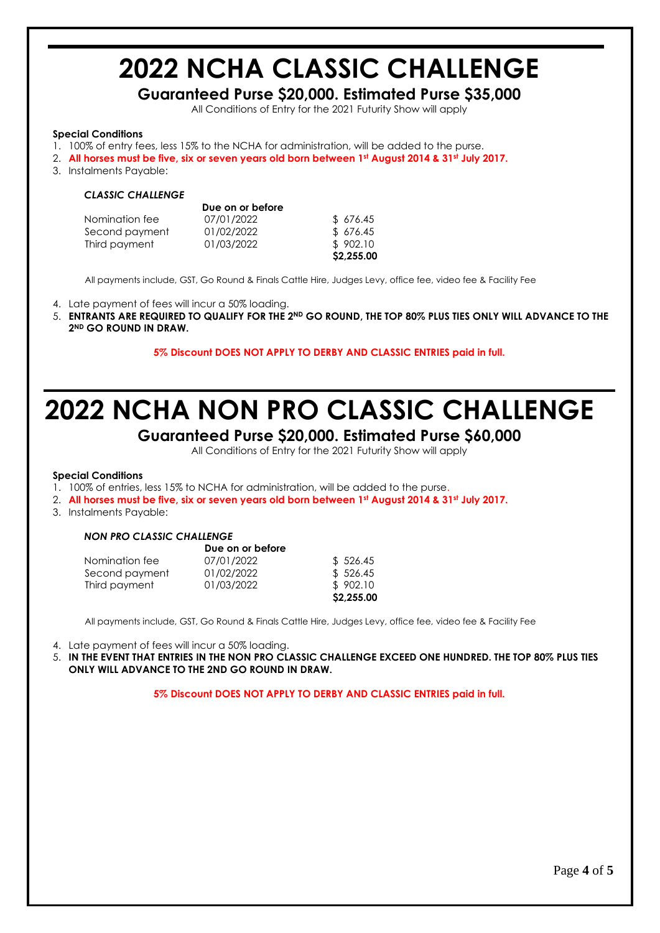# **2022 NCHA CLASSIC CHALLENGE**

### **Guaranteed Purse \$20,000. Estimated Purse \$35,000**

All Conditions of Entry for the 2021 Futurity Show will apply

#### **Special Conditions**

- 1. 100% of entry fees, less 15% to the NCHA for administration, will be added to the purse.
- 2. **All horses must be five, six or seven years old born between 1st August 2014 & 31st July 2017.**
- 3. Instalments Payable:

#### *CLASSIC CHALLENGE*

|                | Due on or before |            |
|----------------|------------------|------------|
| Nomination fee | 07/01/2022       | \$676.45   |
| Second payment | 01/02/2022       | \$676.45   |
| Third payment  | 01/03/2022       | \$902.10   |
|                |                  | \$2,255.00 |

All payments include, GST, Go Round & Finals Cattle Hire, Judges Levy, office fee, video fee & Facility Fee

- 4. Late payment of fees will incur a 50% loading.
- 5. **ENTRANTS ARE REQUIRED TO QUALIFY FOR THE 2ND GO ROUND, THE TOP 80% PLUS TIES ONLY WILL ADVANCE TO THE 2 ND GO ROUND IN DRAW.**

**5% Discount DOES NOT APPLY TO DERBY AND CLASSIC ENTRIES paid in full.**

# **2022 NCHA NON PRO CLASSIC CHALLENGE**

### **Guaranteed Purse \$20,000. Estimated Purse \$60,000**

All Conditions of Entry for the 2021 Futurity Show will apply

#### **Special Conditions**

- 1. 100% of entries, less 15% to NCHA for administration, will be added to the purse.
- 2. **All horses must be five, six or seven years old born between 1st August 2014 & 31st July 2017.**

3. Instalments Payable:

#### *NON PRO CLASSIC CHALLENGE*

|                | Due on or before |            |
|----------------|------------------|------------|
| Nomination fee | 07/01/2022       | \$526.45   |
| Second payment | 01/02/2022       | \$526.45   |
| Third payment  | 01/03/2022       | \$902.10   |
|                |                  | \$2,255.00 |

All payments include, GST, Go Round & Finals Cattle Hire, Judges Levy, office fee, video fee & Facility Fee

- 4. Late payment of fees will incur a 50% loading.
- 5. **IN THE EVENT THAT ENTRIES IN THE NON PRO CLASSIC CHALLENGE EXCEED ONE HUNDRED. THE TOP 80% PLUS TIES ONLY WILL ADVANCE TO THE 2ND GO ROUND IN DRAW.**

**5% Discount DOES NOT APPLY TO DERBY AND CLASSIC ENTRIES paid in full.**